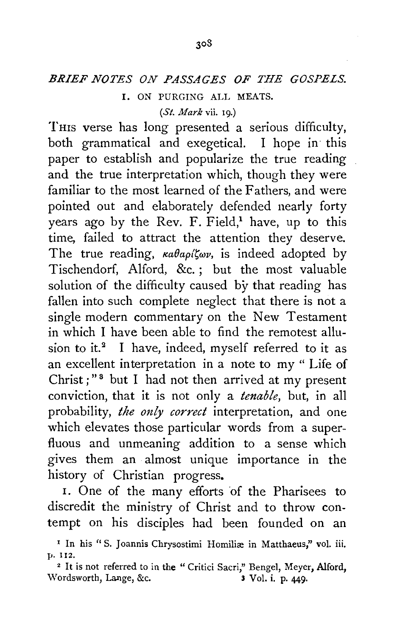## *BRIEF NOTES ON PASSAGES OF THE GOSPELS.*  I. ON PURGING ALL MEATS.

*(St. Mark* vii. 19.)

THIS verse has long presented a serious difficulty, both grammatical and exegetical. I hope in this paper to establish and popularize the true reading and the true interpretation which, though they were familiar to the most learned of the Fathers, and were pointed out and elaborately defended nearly forty years ago by the Rev. F. Field,<sup>1</sup> have, up to this time, failed to attract the attention they deserve. The true reading,  $\kappa a \theta a \rho/\zeta \omega \nu$ , is indeed adopted by Tischendorf, Alford, &c. ; but the most valuable solution of the difficulty caused by that reading has fallen into such complete neglect that there is not a single modern commentary on the New Testament in which I have been able to find the remotest allusion to it.<sup>2</sup> I have, indeed, myself referred to it as an excellent interpretation in a note to my " Life of Christ  $; "$ <sup>3</sup> but I had not then arrived at my present conviction, that it is not only a *tenable,* but, in all probability, *the only correct* interpretation, and one which elevates those particular words from a superfluous and unmeaning addition to a sense which gives them an almost unique importance in the history of Christian progress.

1. One of the many efforts of the Pharisees to discredit the ministry of Christ and to throw contempt on his disciples had been founded on an

<sup>&</sup>lt;sup>1</sup> In his "S. Joannis Chrysostimi Homiliæ in Matthaeus," vol. iii. p. 112.

<sup>&</sup>lt;sup>2</sup> It is not referred to in the "Critici Sacri," Bengel, Meyer, Alford, Wordsworth, Lange, &c. 3 Vol. i. p. 449.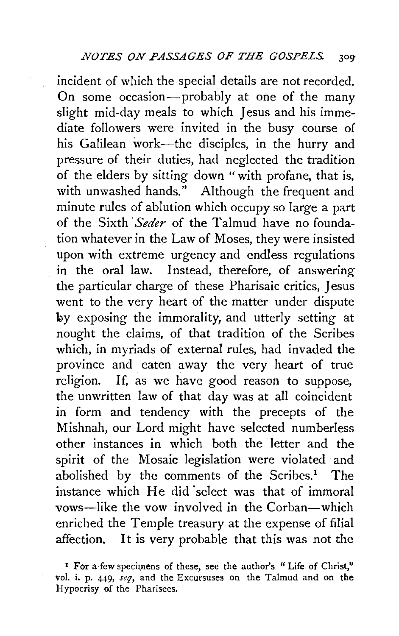incident of which the special details are not recorded. On some occasion-probably at one of the many slight mid-day meals to which Jesus and his immediate followers were invited in the busy course of his Galilean work-the disciples, in the hurry and pressure of their duties, had neglected the tradition of the elders by sitting down "with profane, that is, with unwashed hands." Although the frequent and minute rules of ablution which occupy so large a part of the Sixth *'Seder* of the Talmud have no foundation whatever in the Law of Moses, they were insisted upon with extreme urgency and endless regulations in the oral law. Instead, therefore, of answering the particular charge of these Pharisaic critics, Jesus went to the very heart of the matter under dispute by exposing the immorality, and utterly setting at nought the claims, of that tradition of the Scribes which, in myriads of external rules, had invaded the province and eaten away the very heart of true religion. If, as we have good reason to suppose, the unwritten law of that day was at all coincident in form and tendency with the precepts of the Mishnah, our Lord might have selected numberless other instances in which both the letter and the spirit of the Mosaic legislation were violated and abolished by the comments of the Scribes.<sup>1</sup> The instance which He did 'select was that of immoral vows-like the vow involved in the Corban-which enriched the Temple treasury at the expense of filial affection. It is very probable that this was not the

<sup>&</sup>lt;sup>1</sup> For a few specimens of these, see the author's " Life of Christ," vol. i. p. 449, *seq,* and the Excursuses on the Talmud and on the Hypocrisy of the Pharisees.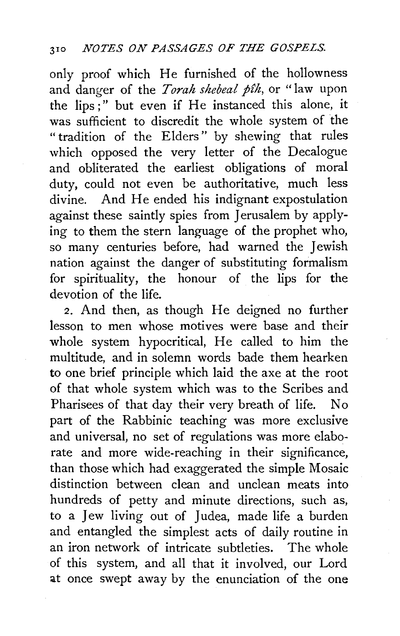only proof which He furnished of the hollowness and danger of the *Torah shebeal p£h,* or "law upon the lips;" but even if He instanced this alone, it was sufficient to discredit the whole system of the " tradition of the Elders " by shewing that rules which opposed the very letter of the Decalogue and obliterated the earliest obligations of moral duty, could not even be authoritative, much less divine. And He ended his indignant expostulation against these saintly spies from Jerusalem by applying to them the stern language of the prophet who, so many centuries before, had warned the Jewish nation against the danger of substituting formalism for spirituality, the honour of the lips for the devotion of the life.

2. And then, as though He deigned no further lesson to men whose motives were base and their whole system hypocritical, He called to him the multitude, and in solemn words bade them hearken to one brief principle which laid the axe at the root of that whole system which was to the Scribes and Pharisees of that day their very breath of life. No part of the Rabbinic teaching was more exclusive and universal, no set of regulations was more elaborate and more wide-reaching in their significance, than those which had exaggerated the simple Mosaic distinction between clean and unclean meats into hundreds of petty and minute directions, such as, to a Jew living out of Judea, made life a burden and entangled the simplest acts of daily routine in an iron network of intricate subtleties. The whole of this system, and all that it involved, our Lord at once swept away by the enunciation of the one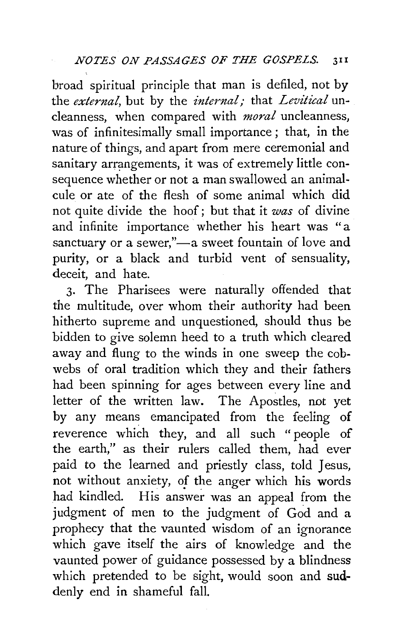broad spiritual principle that man is defiled, not by the *external*, but by the *internal*; that *Levitical* uncleanness, when compared with *moral* uncleanness, was of infinitesimally small importance ; that, in the nature of things, and apart from mere ceremonial and sanitary arrangements, it was of extremely little consequence whether or not a man swallowed an animalcule or ate of the flesh of some animal which did not quite divide the hoof; but that it *was* of divine and infinite importance whether his heart was "a sanctuary or a sewer,"-a sweet fountain of love and purity, or a black and turbid vent of sensuality, deceit, and hate.

3· The Pharisees were naturally offended that the multitude, over whom their authority had been hitherto supreme and unquestioned, should thus be bidden to give solemn heed to a truth which cleared away and flung to the winds in one sweep the cobwebs of oral tradition which they and their fathers had been spinning for ages between every line and letter of the written law. The Apostles, not yet by any means emancipated from the feeling of reverence which they, and all such "people of the earth," as their rulers called them, had ever paid to the learned and priestly class, told Jesus, not without anxiety, of the anger which his words had kindled. His answer was an appeal from the judgment of men to the judgment of God and a prophecy that the vaunted wisdom of an ignorance which gave itself the airs of knowledge and the vaunted power of guidance possessed by a blindness which pretended to be sight, would soon and **sud**denly end in shameful fall.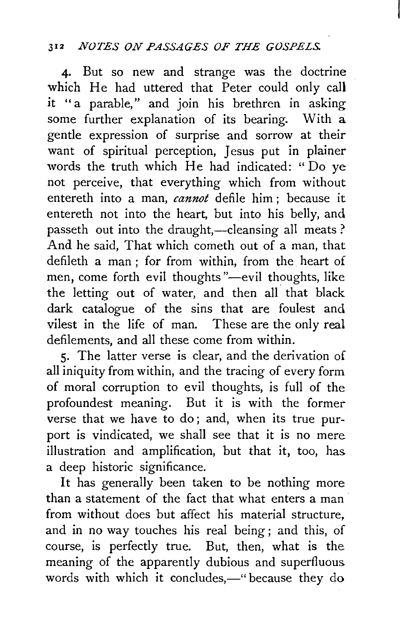4· But so new and strange was the doctrine which He had uttered that Peter could only call it "a parable," and join his brethren in asking some further explanation of its bearing. With a gentle expression of surprise and sorrow at their want of spiritual perception, Jesus put in plainer words the truth which He had indicated: "Do ye not perceive, that everything which from without entereth into a man, *cannot* defile him; because it entereth not into the heart, but into his belly, and passeth out into the draught,—cleansing all meats ? And he said, That which cometh out of a man, that defileth a man ; for from within, from the heart of men, come forth evil thoughts "-evil thoughts, like the letting out of water, and then all that black dark catalogue of the sins that are foulest and vilest in the life of man. These are the only real defilements, and all these come from within.

5· The latter verse is clear, and the derivation of all iniquity from within, and the tracing of every form of moral corruption to evil thoughts, is full of the profoundest meaning. But it is with the former verse that we have to do; and, when its true purport is vindicated, we shall see that it is no mere illustration and amplification, but that it, too, has a deep historic significance.

It has generally been taken to be nothing more than a statement of the fact that what enters a man from without does but affect his material structure, and in no way touches his real being; and this, of course, is perfectly true. But, then, what is the meaning of the apparently dubious and superfluous words with which it concludes.—" because they do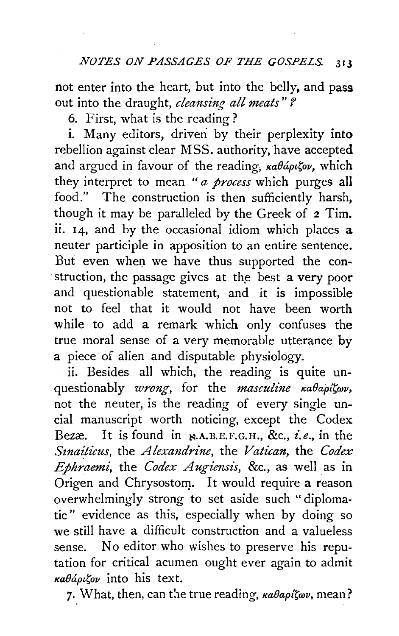not enter into the heart, but into the belly, and pass out into the draught, *cleansing all meats*"?

6. First, what is the reading?

i. Many editors, driven by their perplexity into rebellion against clear MSS. authority, have accepted and argued in favour of the reading,  $\kappa a \theta \acute{a} \rho \iota \zeta \rho \nu$ , which they interpret to mean *"a process* which purges all food." The construction is then sufficiently harsh, though it may be paralleled by the Greek of *2* Tim. ii. 14, and by the occasional idiom which places a neuter participle in apposition to an entire sentence. But even when we have thus supported the construction, the passage gives at the best a very poor and questionable statement, and it is impossible not to feel that it would not have been worth while to add a remark which only confuses the true moral sense of a very memorable utterance by a piece of alien and disputable physiology.

ii. Besides all which, the reading is quite unquestionably *wrong*, for the *masculine*  $\kappa$ *aθapiζωv*, not the neuter, is the reading of every single uncia! manuscript worth noticing, except the Codex Bezæ. It is found in x.A.B.E.F.G.H., &c., *i.e.*, in the *Sznaiticus,* the *Alexandrine,* the *Vatican,* the *Codex Ephraemi,* the *Codex Augiensis,* &c., as well as in Origen and Chrysostom. It would require a reason overwhelmingly strong to set aside such "diplomatic" evidence as this, especially when by doing so we still have a difficult construction and a valueless sense. No editor who wishes to preserve his reputation for critical acumen ought ever again to admit  $\kappa a \theta$ ápiζov into his text.

7. What, then, can the true reading,  $\kappa a \theta a \rho$ *i* $\zeta \omega \nu$ , mean?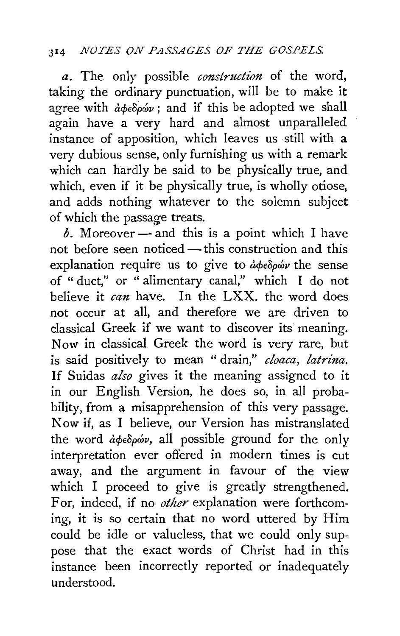## 314 *NOTES ON PASSAGES OF THE GOSPELS.*

*a*. The only possible *construction* of the word, taking the ordinary punctuation, will be to make it agree with  $d\phi \epsilon \delta \rho \omega$ , and if this be adopted we shall again have a very hard and almost unparalleled instance of apposition, which leaves us still with a very dubious sense, only furnishing us with a remark which can hardly be said to be physically true, and which, even if it be physically true, is wholly otiose, and adds nothing whatever to the solemn subject of which the passage treats.

 $b.$  Moreover — and this is a point which I have not before seen noticed - this construction and this explanation require us to give to  $\partial \phi \partial \phi$  the sense of " duct," or " alimentary canal," which I do not believe it *can* have. In the LXX. the word does not occur at all, and therefore we are driven to classical Greek if we want to discover its meaning. Now in classical. Greek the word is very rare, but is said positively to mean "drain," *cloaca, latrina.*  If Suidas *also* gives it the meaning assigned to it in our English Version, he does so, in all probability, from a misapprehension of this very passage. Now if, as I believe, our Version has mistranslated the word  $\partial \phi \in \partial \rho$  *abeleon*, all possible ground for the only interpretation ever offered in modern times is cut away, and the argument in favour of the view which I proceed to give is greatly strengthened. For, indeed, if no *other* explanation were forthcoming, it is so certain that no word uttered by Him could be idle or valueless, that we could only suppose that the exact words of Christ had in this instance been incorrectly reported or inadequately understood.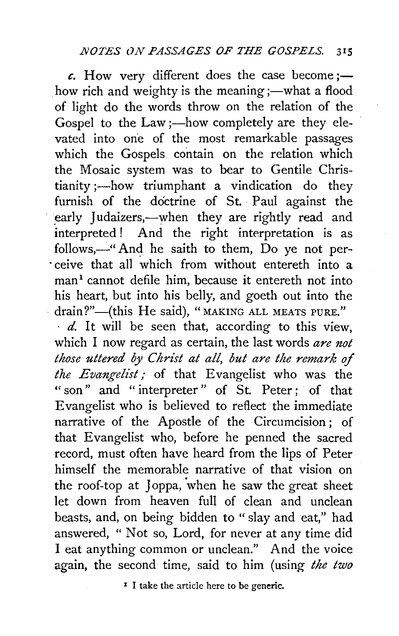$\epsilon$ . How very different does the case become :how rich and weighty is the meaning  $:-$  what a flood of light do the words throw on the relation of the Gospel to the  $Law$ ;—how completely are they elevated into one of the most remarkable passages which the Gospels contain on the relation which the Mosaic system was to bear to Gentile Christianity  $\frac{1}{2}$  triumphant a vindication do they furnish of the doctrine of St. Paul against the early Judaizers,—when they are rightly read and interpreted ! And the right interpretation is as follows,—" And he saith to them, Do ye not per-. ceive that all which from without entereth into a man<sup>1</sup> cannot defile him, because it entereth not into his heart, but into his belly, and goeth out into the drain?"-(this He said), "MAKING ALL MEATS PURE."

 $d$ . It will be seen that, according to this view, which I now regard as certain, the last words *are not those uttered by Christ at all, but are the remark of the Evangelist;* of that Evangelist who was the " son" and " interpreter " of St. Peter ; of that Evangelist who is believed to reflect the immediate narrative of the Apostle of the Circumcision ; of that Evangelist who, before he penned the sacred record, must often have heard from the lips of Peter himself the memorable narrative of that vision on the roof-top at Joppa, when he saw the great sheet let down from heaven full of clean and unclean beasts, and, on being bidden to " slay and eat," had answered, " Not so, Lord, for never at any time did I eat anything common or unclean." And the voice again, the second time, said to him (using *the two* 

*x* I take the article here to be generic.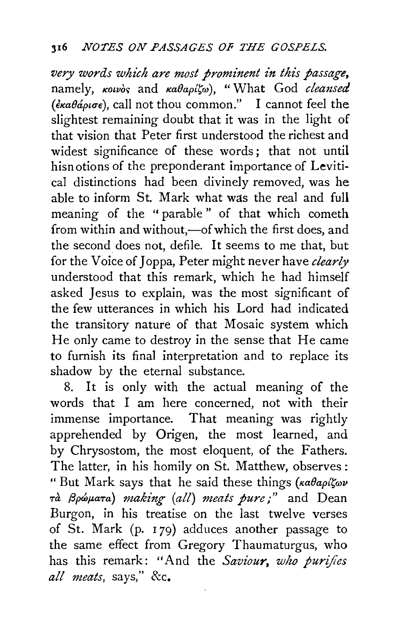*very words which are most prominent in this passage,*  namely, *KOLVOS* and *Ka* $\theta$ *apl'sw*), "What God *cleansed (e"a8aptue),* call not thou common." I cannot feel the slightest remaining doubt that it was in the light of that vision that Peter first understood the richest and widest significance of these words; that not until hisnotions of the preponderant importance of Levitical distinctions had been divinely removed, was he able to inform St. Mark what was the real and full meaning of the "parable " of that which cometh from within and without,-of which the first does, and the second does not, defile. It seems to me that, but for the Voice of Joppa, Peter might never have *clearly* understood that this remark, which he had himself asked Jesus to explain, was the most significant of the few utterances in which his Lord had indicated the transitory nature of that Mosaic system which He only came to destroy in the sense that He came to furnish its final interpretation and to replace its shadow by the eternal substance.

8. It is only with the actual meaning of the words that I am here concerned, not with their immense importance. That meaning was rightly apprehended by Origen, the most learned, and by Chrysostom, the most eloquent, of the Fathers. The latter, in his homily on St. Matthew, observes: " But Mark says that he said these things ( $\kappa a \theta a \rho i \zeta \omega \nu$ *Tct* {3pwp,am) *making (all) meats pure;"* and Dean Burgon, in his treatise on the last twelve verses of St. Mark (p.  $179$ ) adduces another passage to the same effect from Gregory Thaumaturgus, who has this remark: "And the *Saviour, who purifies all meats,* says," &c.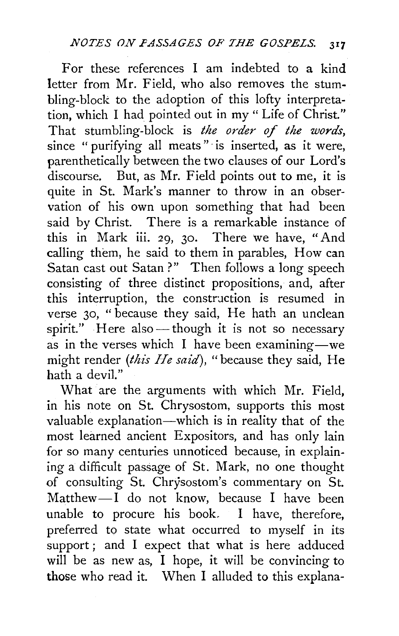For these references I am indebted to a kind letter from Mr. Field, who also removes the stumbling-block to the adoption of this lofty interpretation, which I had pointed out in my" Life of Christ." That stumbling-block is *the order of the words,*  since " purifying all meats" is inserted, as it were, parenthetically between the two clauses of our Lord's discourse. But, as Mr. Field points out to me, it is quite in St. Mark's manner to throw in an observation of his own upon something that had been said by Christ. There is a remarkable instance of this in Mark iii. 29, 30. There we have, "And calling them, he said to them in parables, How can Satan cast out Satan ?" Then follows a long speech consisting of three distinct propositions, and, after this interruption, the construction is resumed in verse 30, "because they said, He hath an unclean spirit." Here also — though it is not so necessary as in the verses which I have been examining—we might render *(this He said),* "because they said, He bath a devil."

What are the arguments with which Mr. Field, in his note on St. Chrysostom, supports this most valuable explanation—which is in reality that of the most learned ancient Expositors, and has only lain for so many centuries unnoticed because, in explaining a difficult passage of St. Mark, no one thought of consulting St. Chrysostom's commentary on St. Matthew $\overline{-1}$  do not know, because I have been unable to procure his book, I have, therefore, preferred to state what occurred to myself in its support; and I expect that what is here adduced will be as new as, I hope, it will be convincing to those who read it. When I alluded to this explana